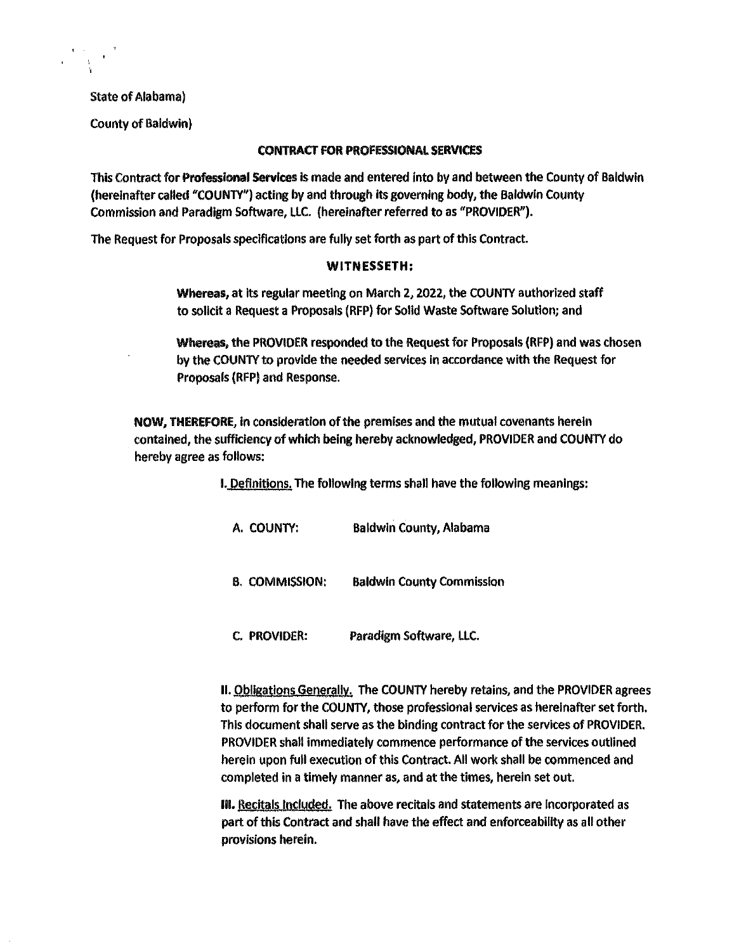State of Alabama)

County of Baldwin)

### CONTRACT FOR PROFESSIONAL SERVICES

This Contract for Professional Services is made and entered Into by and between the County of Baldwin (hereinafter called "COUNTY") acting by and through its governing body, the Baldwin County Commission and Paradigm Software, LLC. (hereinafter referred to as "PROVIDER").

The Request for Proposals specifications are fully set forth as part of this Contract.

#### WITNESSETH;

Whereas, at its regular meeting on March 2, 2022, the COUNTY authorized staff to sollcit a Request a Proposals (RFP) for Solld Waste Software Solution; and

Whereas, the PROVIDER responded to the Request for Proposals (RFP) and was chosen by the COUNTY to provide the needed services In accordance with the Request for Proposals (RFPJ and Response.

NOW, THEREFORE, in consideration of the premises and the mutual covenants herein contained, the sufficiency of which being hereby acknowledged, PROVIDER and COUNTY do hereby agree as follows:

I. Definitions. The following terms shall have the following meanings:

A. COUNTY: Baldwin County, Alabama

B. COMMISSION: Baldwin County Commission

C. PROVIDER: Paradigm Software, LLC.

II. Obllgations Generally. The COUNTY hereby retains, and the PROVIDER agrees to perform for the COUNTY, those professional services as hereinafter set forth. This document shall serve as the binding contract for the services of PROVIDER. PROVIDER shall immediately commence performance of the services outlined herein upon full execution of this Contract. All work shall be commenced and completed in a timely manner as, and at the times, herein set out.

III. Recitals Included. The above recitals and statements are incorporated as part of this Contract and shall have the effect and enforceability as all other provisions herein.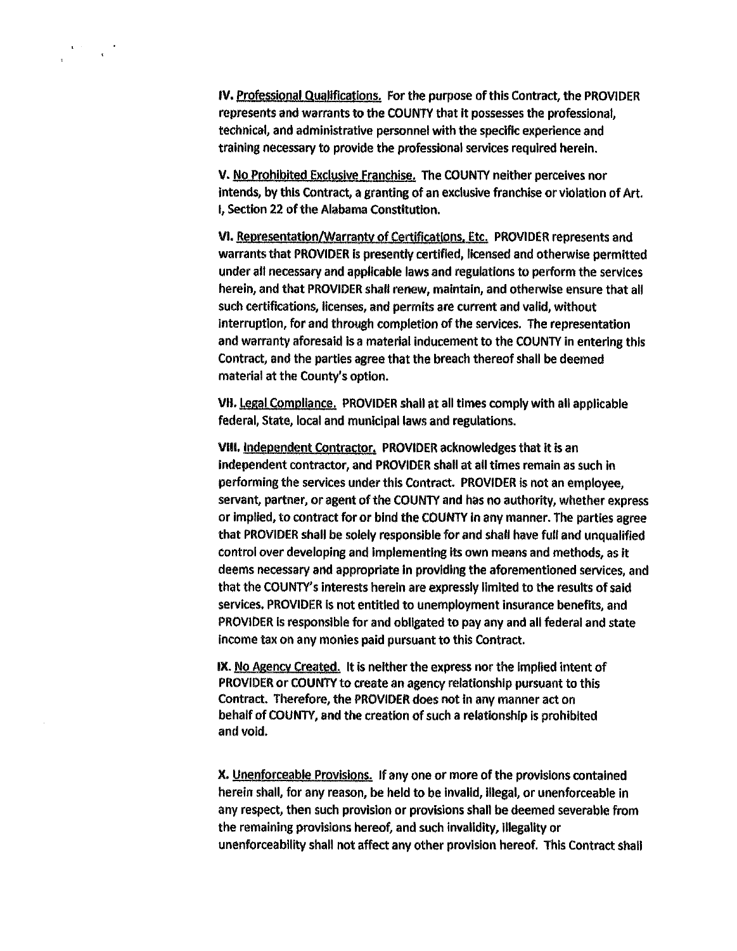IV. Professional Qualifications. For the purpose of this Contract, the PROVIDER represents and warrants to the COUNTY that it possesses the professional, technical, and administrative personnel with the specific experience and training necessary to provide the professional services required herein.

 $\label{eq:1.1} \mathbf{V}^{(1)} = \frac{1}{\mathbf{V}} \mathbf{U}^{(1)}$ 

v. No Prohibited Exclusive Franchise. The COUNTY neither perceives nor intends, by this Contract, a granting of an exclusive franchise or violation of Art. I, Section 22 of the Alabama Constitution.

VI. Representation/Warranty of Certifications. Etc. PROVIDER represents and warrants that PROVIDER is presently certified, licensed and otherwise permitted under all necessary and applicable laws and regulations to perform the services herein, and that PROVIDER shall renew, maintain, and otherwise ensure that all such certifications, licenses, and permits are current and valid, without interruption, for and through completion of the services. The representation and warranty aforesaid is a material inducement to the COUNTY in entering this Contract, and the parties agree that the breach thereof shall be deemed material at the County's option.

VII. Legal Compliance. PROVIDER shall at all times comply with all applicable federal, State, local and municipal laws and regulations.

VIII. Independent Contractor. PROVIDER acknowledges that it is an independent contractor, and PROVIDER shall at all times remain as such In performing the services under this Contract. PROVIDER is not an employee, servant, partner, or agent of the COUNTY and has no authority, whether express or implied, to contract for or bind the COUNTY in any manner. The parties agree that PROVIDER shall be solely responsible for and shalt have full and unqualified control over developing and implementing its own means and methods, as it deems necessary and appropriate in providing the aforementioned services, and that the COUNTY'S interests herein are expressly limited to the results of said services. PROVIDER is not entitled to unemployment insurance benefits, and PROVIDER is responsible for and obligated to pay any and all federal and state income tax on any monies paid pursuant to this Contract.

IX. No Agency Created, It is neither the express nor the Implied intent of PROVIDER or COUNTY to create an agency relationship pursuant to this Contract. Therefore, the PROVIDER does not in any manner act on behalf of COUNTY, and the creation of such a relationship is prohibited and void.

x. Unenforceable Provisions. If any one or more of the provisions contained herein shall, for any reason, be held to be invalid, Illegal, or unenforceable in any respect, then such provision or provisions shall be deemed severable from the remaining provisions hereof, and such invalidity, Illegality or unenforceabillty shall not affect any other provision hereof. This Contract shall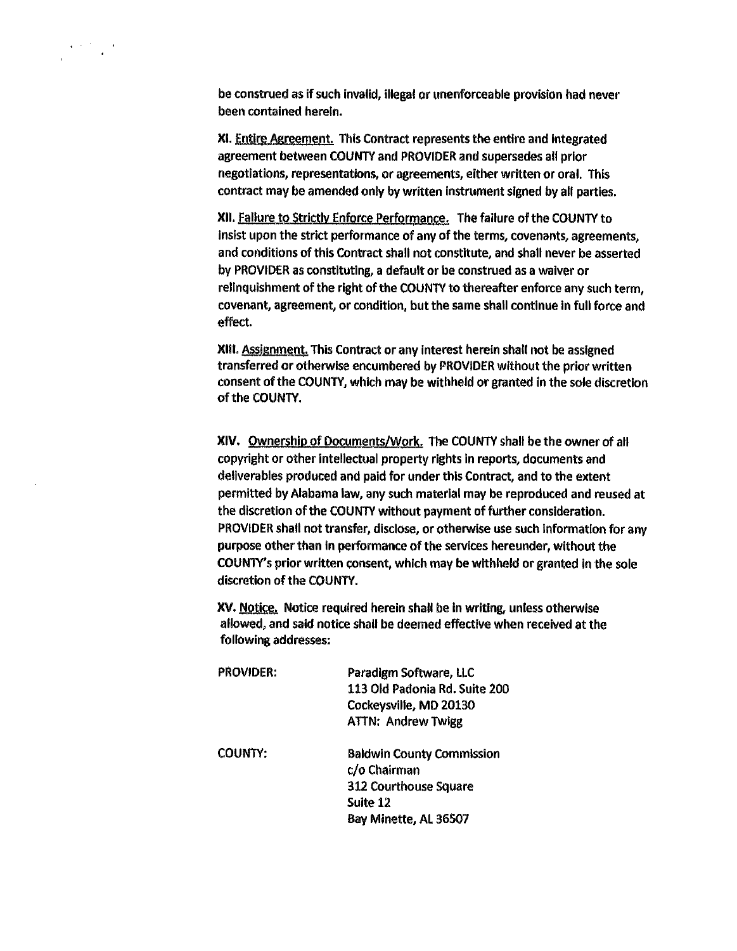be construed as if such invalid, illegal or unenforceable provision had never been contained herein.

XI. Entire Agreement. This Contract represents the entire and integrated agreement between COUNTY and PROVIDER and supersedes all prior negotiations, representations, or agreements, either written or oral. This contract may be amended only by written instrument signed by all parties.

XII. failure to Strictly Enforce Performance. The failure of the COUNTY to Insist upon the strict performance of any of the terms, covenants, agreements, and conditions of this Contract shall not constitute, and shall never be asserted by PROVIDER as constituting, a default or be construed as a waiver or relinquishment of the right of the COUNTY to thereafter enforce any such term, covenant, agreement, or condition, but the same shall continue in full force and effect.

XIII. Assignment. This Contract or any interest herein shall not be assigned transferred or otherwise encumbered by PROVIDER without the prior written consent of the COUNTY, which may be withheld or granted in the sole discretion of the COUNTY.

XIV. Ownership of Documents/Work. The COUNTY shall be the owner of all copyright or other intellectual property rights in reports, documents and deliverables produced and paid for under this Contract, and to the extent permitted by Alabama law, any such material may be reproduced and reused at the discretion of the COUNTY without payment of further consideration. PROVIDER shall not transfer, disclose, or otherwise use such information for any purpose other than in performance of the services hereunder, without the COUNTY'S prior written consent, which may be withheld or granted in the sole discretion of the COUNTY.

XV. Notice. Notice required herein shall be in writing, unless otherwise allowed, and said notice shall be deemed effective when received at the following addresses:

| <b>PROVIDER:</b> | Paradigm Software, LLC           |  |
|------------------|----------------------------------|--|
|                  | 113 Old Padonia Rd. Suite 200    |  |
|                  | Cockeysville, MD 20130           |  |
|                  | <b>ATTN: Andrew Twigg</b>        |  |
| COUNTY:          | <b>Baldwin County Commission</b> |  |
|                  | c/o Chairman                     |  |
|                  | <b>312 Courthouse Square</b>     |  |
|                  | Suite 12                         |  |
|                  | Bay Minette, AL 36507            |  |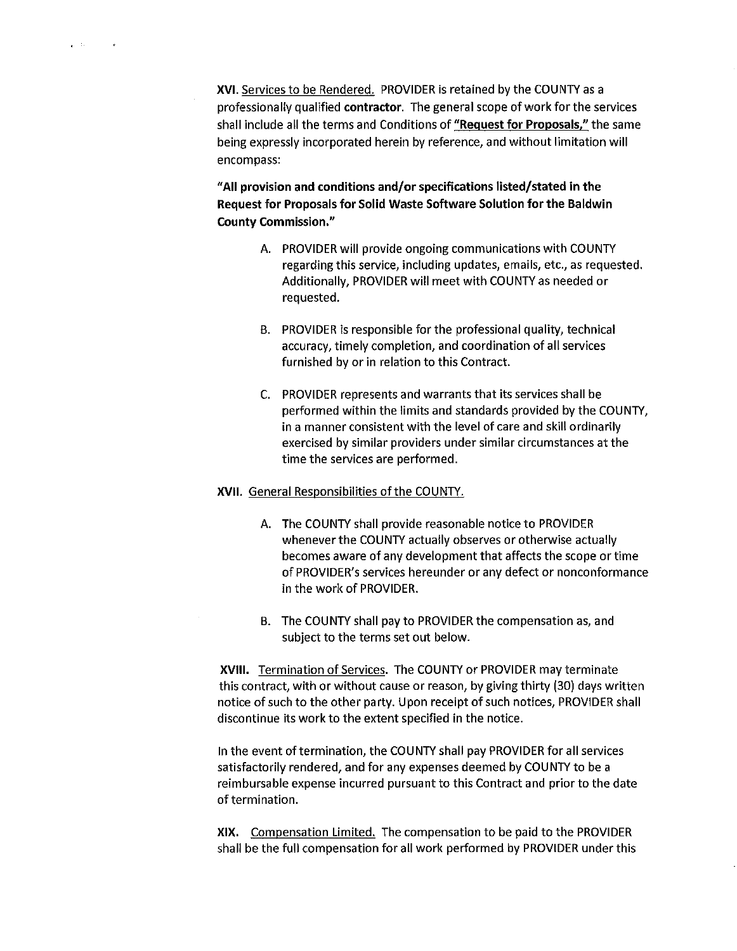XVI. Services to be Rendered. PROVIDER is retained by the COUNTY as a professionally qualified contractor. The general scope of work for the services shall include all the terms and Conditions of "Request for Proposals," the same being expressly incorporated herein by reference, and without limitation will encompass:

"All provision and conditions and/or specifications listed/stated in the Request for Proposals for Solid Waste Software Solution for the Baldwin County Commission."

- A. PROVIDER will provide ongoing communications with COUNTY regarding this service, including updates, emails, etc., as requested. Additionally, PROVIDER will meet with COUNTY as needed or requested.
- 8. PROVIDER is responsible for the professional quality, technical accuracy, timely completion, and coordination of all services furnished by or in relation to this Contract.
- C. PROVIDER represents and warrants that its services shall be performed within the limits and standards provided by the COUNTY, in a manner consistent with the level of care and skill ordinarily exercised by similar providers under similar circumstances at the time the services are performed.

### XVII. General Responsibilities of the COUNTY.

- A. The COUNTY shall provide reasonable notice to PROVIDER whenever the COUNTY actually observes or otherwise actually becomes aware of any development that affects the scope or time of PROVIDER's services hereunder or any defect or nonconformance in the work of PROVIDER.
- 8. The COUNTY shall pay to PROVIDER the compensation as, and subject to the terms set out below.

XVIII. Termination of Services. The COUNTY or PROVIDER may terminate this contract, with or without cause or reason, by giving thirty (30) days written notice of such to the other party. Upon receipt of such notices, PROVIDER shall discontinue its work to the extent specified in the notice.

In the event of termination, the COUNTY shall pay PROVIDER for all services satisfactorily rendered, and for any expenses deemed by COUNTY to be a reimbursable expense incurred pursuant to this Contract and prior to the date of termination.

XIX. Compensation Limited. The compensation to be paid to the PROVIDER shall be the full compensation for all work performed by PROVIDER under this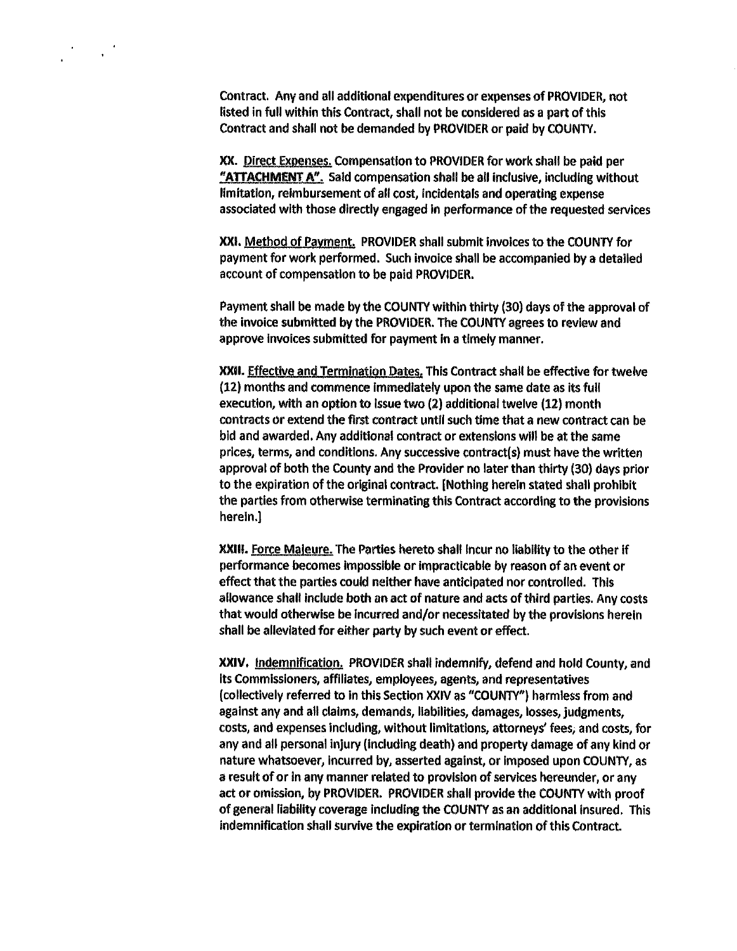Contract. Any and all additional expenditures or expenses of PROVIDER, not listed in full within this Contract, shall not be considered as a part of this Contract and shall not be demanded by PROVIDER or paid by COUNTY.

XX. Direct Expenses. Compensation to PROVIDER for work shall be paid per "ATTACHMENT A". Said compensation shall be all inclusive, including without limitation, reimbursement of all cost, incidentals and operating expense associated with those directly engaged in performance of the requested services

XXI. Method of Payment. PROVIDER shall submit invoices to the COUNTY for payment for work performed. Such invoice shall be accompanied by a detailed account of compensation to be paid PROVIDER.

Payment shall be made by the COUNTY within thirty (30) days of the approval of the invoice submitted by the PROVIDER. The COUNTY agrees to review and approve invoices submitted for payment in a timely manner.

XXII. Effective and Termination Dates, This Contract shall be effective for twelve (12) months and commence immediately upon the same date as its full execution, with an option to issue two (2) additional twelve (12) month contracts or extend the first contract until such time that a new contract can be bid and awarded. Any additional contract or extensions will be at the same prices, terms, and conditions. Any successive contract(s) must have the written approval of both the County and the Provider no later than thirty (30) days prior to the expiration of the original contract. [Nothing herein stated shall prohibit the parties from otherwise terminating this Contract according to the provisions herein.]

XXIII. Force Maleure. The Parties hereto shall incur no liability to the other if performance becomes impossible or impracticable by reason of an event or effect that the parties could neither have anticipated nor controlled. This allowance shall include both an act of nature and acts of third parties. Any costs that would otherwise be Incurred and/or necessitated by the provisions herein shall be alleviated for either party by such event or effect.

XXIV. Indemnification. PROVIDER shall indemnify, defend and hold County, and its Commissioners, affiliates, employees, agents, and representatives (collectively referred to in this Section XXIV as "COUNTY") harmless from and against any and all claims, demands, liabilities, damages, losses, judgments, costs, and expenses Including, without limitations, attorneys' fees, and costs, for any and all personal injury (including death) and property damage of any kind or nature whatsoever, incurred by, asserted against, or imposed upon COUNTY, as a result of or in any manner related to provision of services hereunder, or any act or omission, by PROVIDER. PROVIDER shall provide the COUNTY with proof of general liability coverage including the COUNTY as an additional insured. This indemnification shall survive the expiration or termination of this Contract.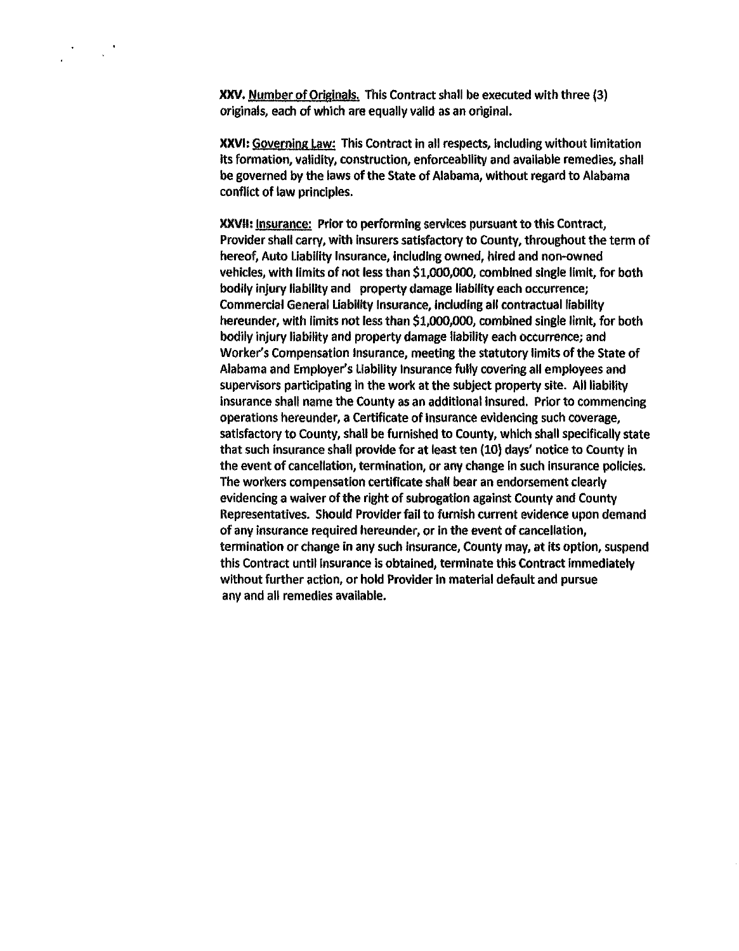XXV. Number of Originals. This Contract shall be executed with three (3) originals, each of which are equally valid as an original.

XXVI: Governing Law: This Contract In all respects, including without limitation Its formation, validity, construction, enforceability and available remedies, shall be governed by the laws of the State of Alabama, without regard to Alabama conflict of law principles.

XXVll: Insurance: Prior to performing services pursuant to this Contract, Provider shall carry, with insurers satisfactory to County, throughout the term of hereof, Auto Liability Insurance, including owned, hired and non-owned vehicles, with limits of not less than \$1,000,000, combined single limit, for both bodily injury liability and property damage liability each occurrence; Commercial General Liability Insurance, Including all contractual liability hereunder, with limits not less than \$1,000,000, combined single limit, for both bodily injury liability and property damage liability each occurrence; and Worker's Compensation Insurance, meeting the statutory limits of the State of Alabama and Employer's Liability Insurance fully covering all employees and supervisors participating in the work at the subject property site. All liability insurance shall name the County as an additional insured. Prior to commencing operations hereunder, a Certificate of Insurance evidencing such coverage, satisfactory to County, shall be furnished to County, which shall specifically state that such insurance shall provide for at least ten (10) days' notice to County In the event of cancellation, termination, or any change In such insurance policies. The workers compensation certificate shall bear an endorsement clearly evidencing a waiver of the right of subrogation against County and County Representatives. Should Provider fail to furnish current evidence upon demand of any insurance required hereunder, or in the event of cancellation, termination or change in any such insurance, County may, at its option, suspend this Contract until insurance is obtained, terminate this Contract Immediately without further action, or hold Provider in material default and pursue any and all remedies available.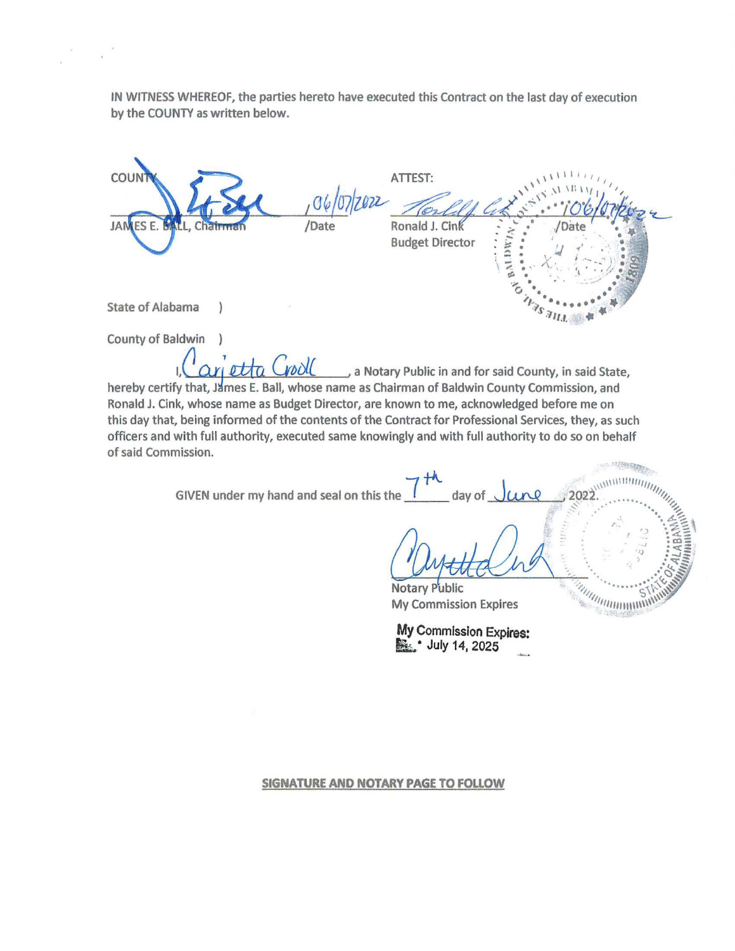IN WITNESS WHEREOF, the parties hereto have executed this Contract on the last day of execution by the COUNTY as written below.

ATTEST: COUNTY LA COUNTY ATTEST:<br>JAMES E. BALL, Chairman /Date /Date Ronald J. Cink :::::: /Date /Date  $Budget Director$ <br>Budget Director<br> $\begin{bmatrix} . & . & . \\ . & . & . \\ . & . & . \\ . & . & . \\ . & . & . \\ . & . & . \\ . & . & . \\ . & . & . \\ . & . & . \\ . & . & . \\ . & . & . \\ . & . & . \\ . & . & . \\ . & . & . \\ . & . & . \\ . & . & . \\ . & . & . \\ . & . & . \\ . & . & . \\ . & . & . \\ . & . & . \\ . & . & . \\ . & . & . \\ . & . & . \\ . & . & . \\ . & . & . \\ . & . & . \\ . & . & . \\ . & . & . \\ . & . & . \\ . & . & . \\ . & . & .$ Budget Director<br>State of Alabama )<br>State of Alabama ) County of Baldwin

ari etta Grool can Notary Public in and for said County, in said State, hereby certify that, James E. Ball, whose name as Chairman of Baldwin County Commission, and Ronald J. Cink, whose name as Budget Director, are known to me, acknowledged before me on this day that, being informed of the contents of the Contract for Professional Services, they, as such officers and with full authority, executed same knowingly and with full authority to do so on behalf of said Commission.

GIVEN under my hand and seal on this the  $\int$  day of

U welle Und antilde in

• 2022. "' *''1* .... <sup>1</sup>

*0* 

<sup>~</sup>.· ·· ···. <sup>~</sup>·.. <sup>~</sup>

Notary Public *'''*<br> **A** Commission Expires **Commission** Expires **My Commission Expires** 

My Commission Expires: **B.** • July 14, 2025

**SIGNATURE AND NOTARY PAGE TO FOLLOW**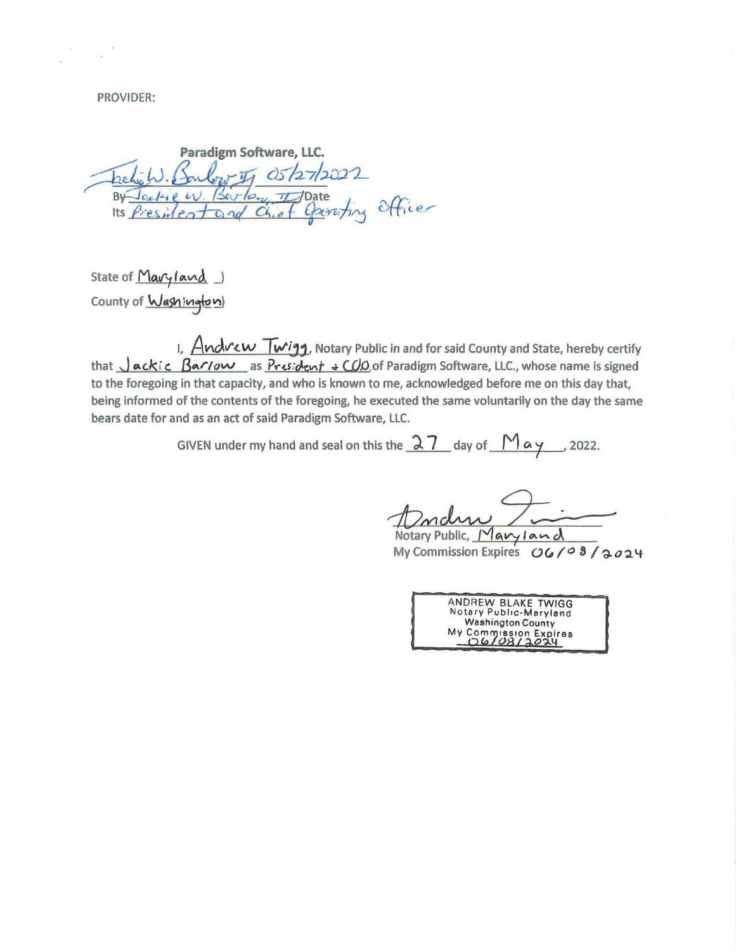PROVIDER:

Paradigm Software, LLC. Faction Barboury 05/27/2022<br>By Jockie W. Barlow 1 Date<br>Its President and Chief Operating Officer

State of  $M$ avy land  $\Box$ County of Washington)

I,  $Andv$ cw  $Twig$ , Notary Public in and for said County and State, hereby certify that  $\bigcup \alpha$ *ckic:* Barlow as President + COO of Paradigm Software, LLC., whose name is signed to the foregoing in that capacity, and who is known to me, acknowledged before me on this day that, being informed of the contents of the foregoing, he executed the same voluntarily on the day the same bears date for and as an act of said Paradigm Software, LLC.

GIVEN under my hand and seal on this the  $\sqrt{27}$  day of  $\sqrt{1}$   $\alpha$   $\gamma$  . 2022.

 $\frac{1}{\sqrt{1-\frac{1}{1-\frac{1}{1-\frac{1}{1-\frac{1}{1-\frac{1}{1-\frac{1}{1-\frac{1}{1-\frac{1}{1-\frac{1}{1-\frac{1}{1-\frac{1}{1-\frac{1}{1-\frac{1}{1-\frac{1}{1-\frac{1}{1-\frac{1}{1-\frac{1}{1-\frac{1}{1-\frac{1}{1-\frac{1}{1-\frac{1}{1-\frac{1}{1-\frac{1}{1-\frac{1}{1-\frac{1}{1-\frac{1}{1-\frac{1}{1-\frac{1}{1-\frac{1}{1-\frac{1}{1-\frac{1}{1-\frac{1}{1-\frac{1}{1-\frac{1}{1-\frac{1}{1-\$ 

Notary Public, Maryland My Commission Expires  $O(108/9024)$ 

ANDREW BLAKE TWIGG No tary Public -M aryland Washington County My Commission Expires<br><u>D6/08/2024</u>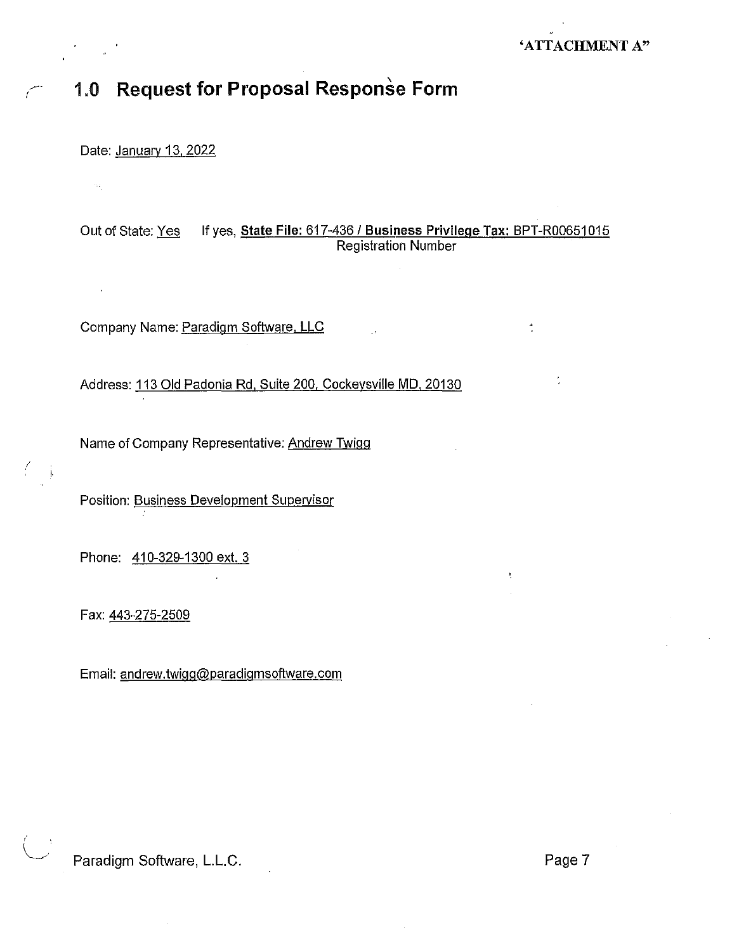## 'ATTACHMENT A"

## $\curvearrowright$  1.0  $\,$  Request for Proposal Response Form  $\,$

Date: January 13, 2022

*r* 

*(* 

Out of State: Yes If yes, State File: 617-436 / Business Privilege Tax: BPT-R00651015 Registration Number

Company Name: Paradigm Software. LLC

Address: 113 Old Padonia Rd. Suite 200. Cockeysville MD, 20130

Name of Company Representative: Andrew Twigg

Position: Business Development Supervisor

Phone: 410-329-1300 ext. 3

Fax: 443-275-2509

Email: andrew.twigg@paradigmsoftware.com

Paradigm Software, L.L.C. **Page 7**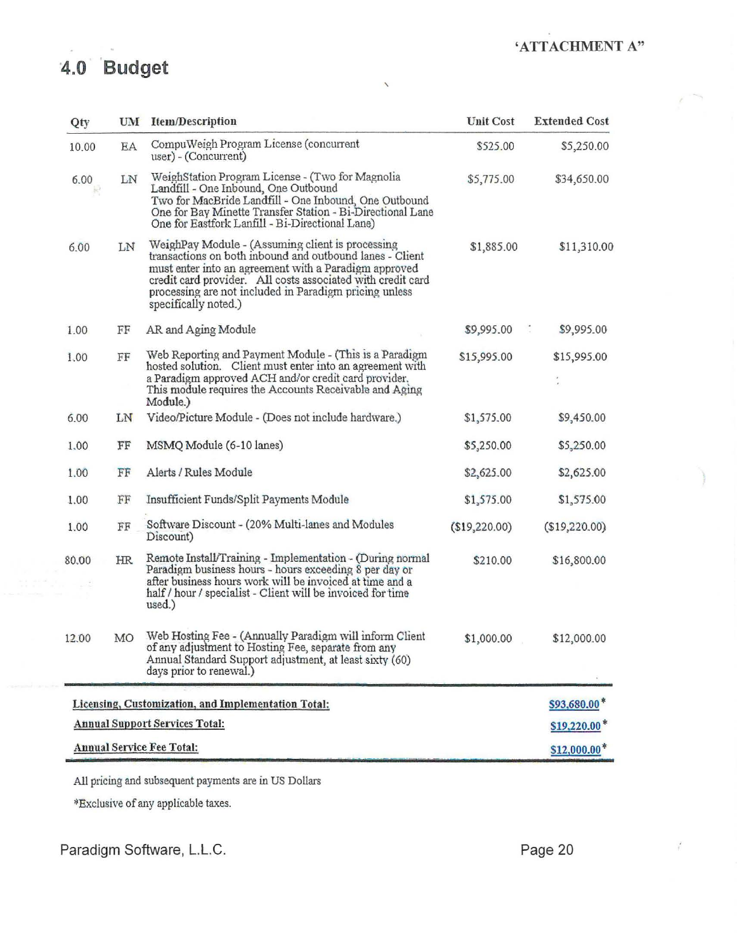## **'ATTACHMENT A"**

# **4.0 Budget**

| Qty                                   | UM  | <b>Item/Description</b>                                                                                                                                                                                                                                                                                                | <b>Unit Cost</b> | <b>Extended Cost</b>        |
|---------------------------------------|-----|------------------------------------------------------------------------------------------------------------------------------------------------------------------------------------------------------------------------------------------------------------------------------------------------------------------------|------------------|-----------------------------|
| 10.00                                 | EA  | CompuWeigh Program License (concurrent<br>user) - (Concurrent)                                                                                                                                                                                                                                                         | \$525.00         | \$5,250.00                  |
| 6.00                                  | LN  | WeighStation Program License - (Two for Magnolia<br>Landfill - One Inbound, One Outbound<br>Two for MacBride Landfill - One Inbound, One Outbound<br>One for Bay Minette Transfer Station - Bi-Directional Lane<br>One for Eastfork Lanfill - Bi-Directional Lane)                                                     | \$5,775.00       | \$34,650.00                 |
| 6.00                                  | LN  | WeighPay Module - (Assuming client is processing<br>transactions on both inbound and outbound lanes - Client<br>must enter into an agreement with a Paradigm approved<br>credit card provider. All costs associated with credit card<br>processing are not included in Paradigm pricing unless<br>specifically noted.) | \$1,885.00       | \$11,310.00                 |
| 1.00                                  | FF  | AR and Aging Module                                                                                                                                                                                                                                                                                                    | \$9,995.00       | $\frac{1}{2}$<br>\$9,995.00 |
| 1.00                                  | FF  | Web Reporting and Payment Module - (This is a Paradigm<br>hosted solution. Client must enter into an agreement with<br>a Paradigm approved ACH and/or credit card provider.<br>This module requires the Accounts Receivable and Aging<br>Module.)                                                                      | \$15,995.00      | \$15,995.00                 |
| 6.00                                  | LN  | Video/Picture Module - (Does not include hardware.)                                                                                                                                                                                                                                                                    | \$1,575.00       | \$9,450.00                  |
| 1,00                                  | FF  | MSMO Module (6-10 lanes)                                                                                                                                                                                                                                                                                               | \$5,250.00       | \$5,250.00                  |
| 1.00                                  | FF  | Alerts / Rules Module                                                                                                                                                                                                                                                                                                  | \$2,625.00       | \$2,625.00                  |
| 1.00                                  | FF  | Insufficient Funds/Split Payments Module                                                                                                                                                                                                                                                                               | \$1,575.00       | \$1,575.00                  |
| 1.00                                  | FF  | Software Discount - (20% Multi-lanes and Modules<br>Discount)                                                                                                                                                                                                                                                          | (\$19,220.00)    | (\$19,220.00)               |
| 80,00                                 | HR. | Remote Install/Training - Implementation - (During normal<br>Paradigm business hours - hours exceeding 8 per day or<br>after business hours work will be invoiced at time and a<br>half / hour / specialist - Client will be invoiced for time<br>used.)                                                               | \$210.00         | \$16,800.00                 |
| 12.00                                 | MO  | Web Hosting Fee - (Annually Paradigm will inform Client<br>of any adjustment to Hosting Fee, separate from any<br>Annual Standard Support adjustment, at least sixty (60)<br>days prior to renewal.)                                                                                                                   | \$1,000.00       | \$12,000.00                 |
|                                       |     | Licensing, Customization, and Implementation Total:                                                                                                                                                                                                                                                                    |                  | \$93,680.00*                |
| <b>Annual Support Services Total:</b> |     |                                                                                                                                                                                                                                                                                                                        |                  | \$19,220.00                 |
| <b>Annual Service Fee Total:</b>      |     |                                                                                                                                                                                                                                                                                                                        |                  | $$12,000.00^*$              |

 $\lambda$ 

All pricing and subsequent payments are in US Dollars

>IExclusive of any applicable taxes.

 $\vec{r}$